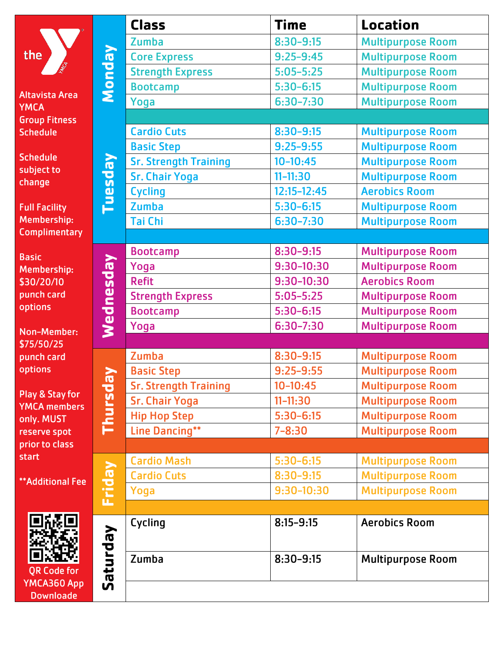|                                                                                                          |                                 | <b>Class</b>                 | <b>Time</b>     | Location                 |
|----------------------------------------------------------------------------------------------------------|---------------------------------|------------------------------|-----------------|--------------------------|
| the<br><b>Altavista Area</b><br><b>YMCA</b>                                                              | <b>Monday</b><br><u>Vepseni</u> | Zumba                        | $8:30 - 9:15$   | <b>Multipurpose Room</b> |
|                                                                                                          |                                 | <b>Core Express</b>          | $9:25 - 9:45$   | <b>Multipurpose Room</b> |
|                                                                                                          |                                 | <b>Strength Express</b>      | $5:05 - 5:25$   | <b>Multipurpose Room</b> |
|                                                                                                          |                                 | <b>Bootcamp</b>              | $5:30 - 6:15$   | <b>Multipurpose Room</b> |
|                                                                                                          |                                 | Yoga                         | $6:30 - 7:30$   | <b>Multipurpose Room</b> |
| <b>Group Fitness</b>                                                                                     |                                 |                              |                 |                          |
| <b>Schedule</b><br><b>Schedule</b><br>subject to<br>change<br><b>Full Facility</b><br><b>Membership:</b> |                                 | <b>Cardio Cuts</b>           | $8:30 - 9:15$   | <b>Multipurpose Room</b> |
|                                                                                                          |                                 | <b>Basic Step</b>            | $9:25 - 9:55$   | <b>Multipurpose Room</b> |
|                                                                                                          |                                 | <b>Sr. Strength Training</b> | $10 - 10:45$    | <b>Multipurpose Room</b> |
|                                                                                                          |                                 | <b>Sr. Chair Yoga</b>        | $11 - 11:30$    | <b>Multipurpose Room</b> |
|                                                                                                          |                                 | <b>Cycling</b>               | $12:15 - 12:45$ | <b>Aerobics Room</b>     |
|                                                                                                          |                                 | <b>Zumba</b>                 | $5:30 - 6:15$   | <b>Multipurpose Room</b> |
|                                                                                                          |                                 | Tai Chi                      | $6:30 - 7:30$   | <b>Multipurpose Room</b> |
| <b>Complimentary</b>                                                                                     |                                 |                              |                 |                          |
| <b>Basic</b><br><b>Membership:</b><br>\$30/20/10<br>punch card<br>options<br><b>Non-Member:</b>          | Wednesday                       | <b>Bootcamp</b>              | $8:30 - 9:15$   | <b>Multipurpose Room</b> |
|                                                                                                          |                                 | Yoga                         | 9:30-10:30      | <b>Multipurpose Room</b> |
|                                                                                                          |                                 | <b>Refit</b>                 | 9:30-10:30      | <b>Aerobics Room</b>     |
|                                                                                                          |                                 | <b>Strength Express</b>      | $5:05 - 5:25$   | <b>Multipurpose Room</b> |
|                                                                                                          |                                 | <b>Bootcamp</b>              | $5:30 - 6:15$   | <b>Multipurpose Room</b> |
|                                                                                                          |                                 | Yoga                         | $6:30 - 7:30$   | <b>Multipurpose Room</b> |
| \$75/50/25                                                                                               |                                 |                              |                 |                          |
| punch card<br>options<br>Play & Stay for<br><b>YMCA</b> members<br>only. MUST<br>reserve spot            | Thursday                        | Zumba                        | $8:30 - 9:15$   | <b>Multipurpose Room</b> |
|                                                                                                          |                                 | <b>Basic Step</b>            | $9:25 - 9:55$   | <b>Multipurpose Room</b> |
|                                                                                                          |                                 | <b>Sr. Strength Training</b> | $10 - 10:45$    | <b>Multipurpose Room</b> |
|                                                                                                          |                                 | <b>Sr. Chair Yoga</b>        | $11 - 11:30$    | <b>Multipurpose Room</b> |
|                                                                                                          |                                 | <b>Hip Hop Step</b>          | $5:30 - 6:15$   | <b>Multipurpose Room</b> |
|                                                                                                          |                                 | <b>Line Dancing**</b>        | $7 - 8:30$      | <b>Multipurpose Room</b> |
| prior to class                                                                                           |                                 |                              |                 |                          |
| start<br><b>**Additional Fee</b>                                                                         | Friday                          | <b>Cardio Mash</b>           | $5:30 - 6:15$   | <b>Multipurpose Room</b> |
|                                                                                                          |                                 | <b>Cardio Cuts</b>           | $8:30 - 9:15$   | <b>Multipurpose Room</b> |
|                                                                                                          |                                 | Yoga                         | 9:30-10:30      | <b>Multipurpose Room</b> |
|                                                                                                          |                                 |                              |                 |                          |
| <b>QR Code for</b><br>YMCA360 App                                                                        | Saturday                        | Cycling                      | $8:15 - 9:15$   | <b>Aerobics Room</b>     |
|                                                                                                          |                                 | Zumba                        | $8:30 - 9:15$   | <b>Multipurpose Room</b> |
| <b>Downloade</b>                                                                                         |                                 |                              |                 |                          |